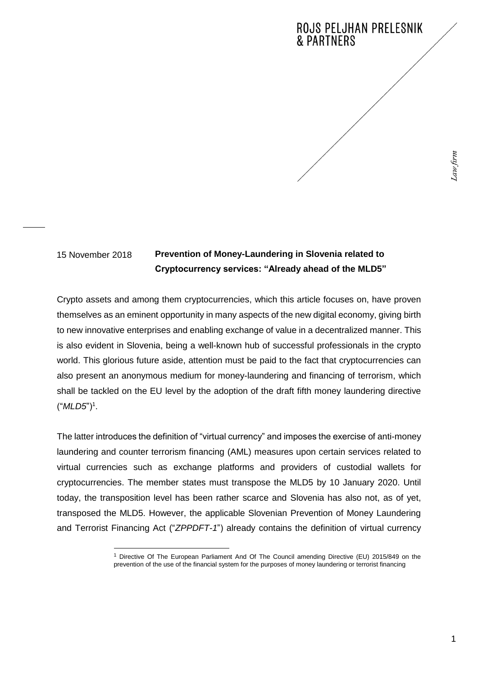## **Prevention of Money-Laundering in Slovenia related to Cryptocurrency services: "Already ahead of the MLD5"** 15 November 2018

Crypto assets and among them cryptocurrencies, which this article focuses on, have proven themselves as an eminent opportunity in many aspects of the new digital economy, giving birth to new innovative enterprises and enabling exchange of value in a decentralized manner. This is also evident in Slovenia, being a well-known hub of successful professionals in the crypto world. This glorious future aside, attention must be paid to the fact that cryptocurrencies can also present an anonymous medium for money-laundering and financing of terrorism, which shall be tackled on the EU level by the adoption of the draft fifth money laundering directive ("*MLD5*")<sup>1</sup> .

The latter introduces the definition of "virtual currency" and imposes the exercise of anti-money laundering and counter terrorism financing (AML) measures upon certain services related to virtual currencies such as exchange platforms and providers of custodial wallets for cryptocurrencies. The member states must transpose the MLD5 by 10 January 2020. Until today, the transposition level has been rather scarce and Slovenia has also not, as of yet, transposed the MLD5. However, the applicable Slovenian Prevention of Money Laundering and Terrorist Financing Act ("*ZPPDFT-1*") already contains the definition of virtual currency

<sup>-</sup><sup>1</sup> Directive Of The European Parliament And Of The Council amending Directive (EU) 2015/849 on the prevention of the use of the financial system for the purposes of money laundering or terrorist financing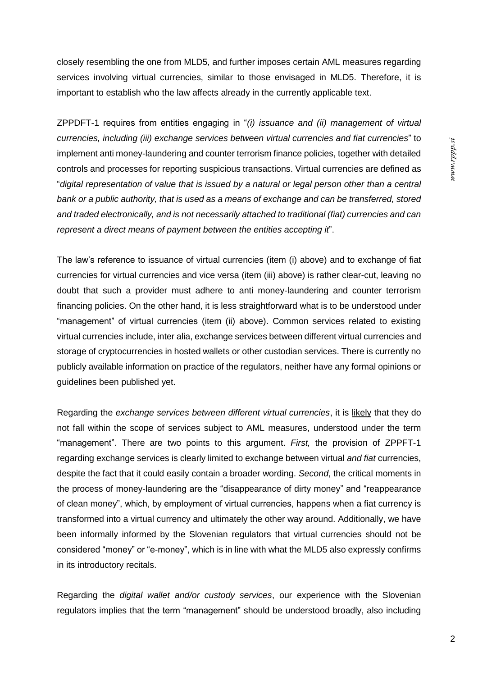closely resembling the one from MLD5, and further imposes certain AML measures regarding services involving virtual currencies, similar to those envisaged in MLD5. Therefore, it is important to establish who the law affects already in the currently applicable text.

ZPPDFT-1 requires from entities engaging in "*(i) issuance and (ii) management of virtual currencies, including (iii) exchange services between virtual currencies and fiat currencies*" to implement anti money-laundering and counter terrorism finance policies, together with detailed controls and processes for reporting suspicious transactions. Virtual currencies are defined as "*digital representation of value that is issued by a natural or legal person other than a central bank or a public authority, that is used as a means of exchange and can be transferred, stored and traded electronically, and is not necessarily attached to traditional (fiat) currencies and can represent a direct means of payment between the entities accepting it*".

The law's reference to issuance of virtual currencies (item (i) above) and to exchange of fiat currencies for virtual currencies and vice versa (item (iii) above) is rather clear-cut, leaving no doubt that such a provider must adhere to anti money-laundering and counter terrorism financing policies. On the other hand, it is less straightforward what is to be understood under "management" of virtual currencies (item (ii) above). Common services related to existing virtual currencies include, inter alia, exchange services between different virtual currencies and storage of cryptocurrencies in hosted wallets or other custodian services. There is currently no publicly available information on practice of the regulators, neither have any formal opinions or guidelines been published yet.

Regarding the *exchange services between different virtual currencies*, it is likely that they do not fall within the scope of services subject to AML measures, understood under the term "management". There are two points to this argument. *First,* the provision of ZPPFT-1 regarding exchange services is clearly limited to exchange between virtual *and fiat* currencies, despite the fact that it could easily contain a broader wording. *Second*, the critical moments in the process of money-laundering are the "disappearance of dirty money" and "reappearance of clean money", which, by employment of virtual currencies, happens when a fiat currency is transformed into a virtual currency and ultimately the other way around. Additionally, we have been informally informed by the Slovenian regulators that virtual currencies should not be considered "money" or "e-money", which is in line with what the MLD5 also expressly confirms in its introductory recitals.

Regarding the *digital wallet and/or custody services*, our experience with the Slovenian regulators implies that the term "management" should be understood broadly, also including